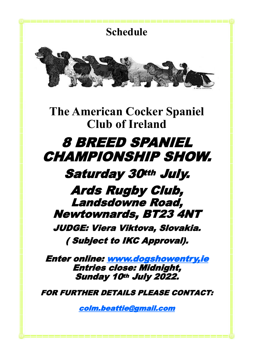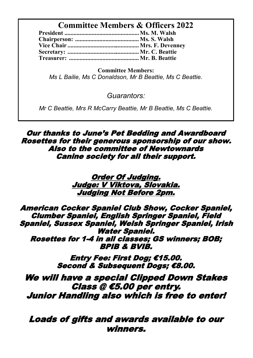# **Committee Members & Officers 2022**

**Committee Members:** *Ms L Bailie, Ms C Donaldson, Mr B Beattie, Ms C Beattie.*

*Guarantors:* 

*Mr C Beattie, Mrs R McCarry Beattie, Mr B Beattie, Ms C Beattie.*

Our thanks to June's Pet Bedding and Awardboard Rosettes for their generous sponsorship of our show. Also to the committee of Newtownards Canine society for all their support.

> Order Of Judging. Judge: V Viktova, Slovakia. Judging Not Before 2pm.

American Cocker Spaniel Club Show, Cocker Spaniel, Clumber Spaniel, English Springer Spaniel, Field Spaniel, Sussex Spaniel, Welsh Springer Spaniel, Irish Water Spaniel. Rosettes for 1-4 in all classes; GS winners; BOB; BPIB & BVIB.

> Entry Fee: First Dog; €15.00. Second & Subsequent Dogs: €8.00.

We will have a special Clipped Down Stakes Class @ €5.00 per entry. Junior Handling also which is free to enter!

Loads of gifts and awards available to our winners.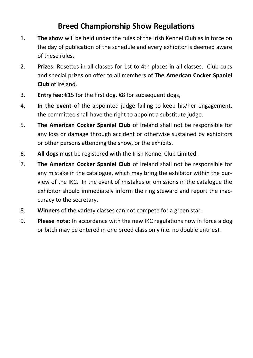# **Breed Championship Show Regulations**

- 1. **The show** will be held under the rules of the Irish Kennel Club as in force on the day of publication of the schedule and every exhibitor is deemed aware of these rules.
- 2. **Prizes:** Rosettes in all classes for 1st to 4th places in all classes. Club cups and special prizes on offer to all members of **The American Cocker Spaniel Club** of Ireland.
- 3. **Entry fee:** €15 for the first dog, €8 for subsequent dogs,
- 4. **In the event** of the appointed judge failing to keep his/her engagement, the committee shall have the right to appoint a substitute judge.
- 5. **The American Cocker Spaniel Club** of Ireland shall not be responsible for any loss or damage through accident or otherwise sustained by exhibitors or other persons attending the show, or the exhibits.
- 6. **All dogs** must be registered with the Irish Kennel Club Limited.
- 7. **The American Cocker Spaniel Club** of Ireland shall not be responsible for any mistake in the catalogue, which may bring the exhibitor within the purview of the IKC. In the event of mistakes or omissions in the catalogue the exhibitor should immediately inform the ring steward and report the inaccuracy to the secretary.
- 8. **Winners** of the variety classes can not compete for a green star.
- 9. **Please note:** In accordance with the new IKC regulations now in force a dog or bitch may be entered in one breed class only (i.e. no double entries).